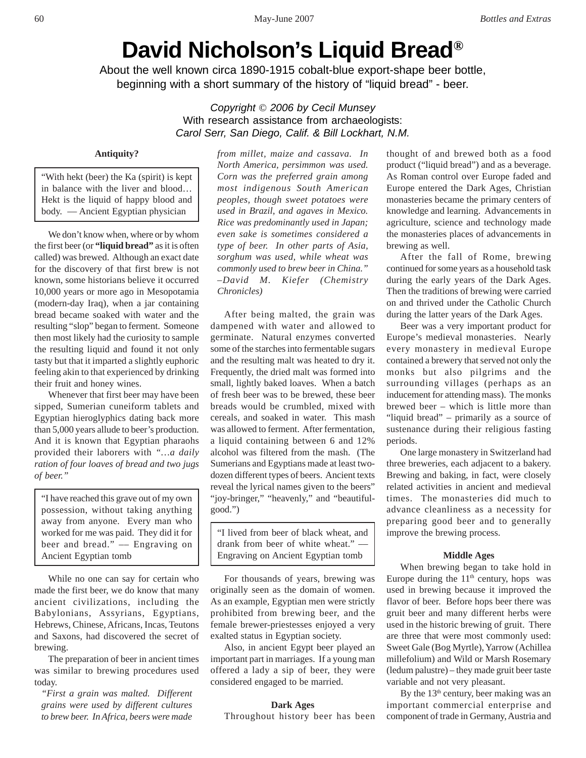# **David Nicholson's Liquid Bread®**

About the well known circa 1890-1915 cobalt-blue export-shape beer bottle, beginning with a short summary of the history of "liquid bread" - beer.

> *Copyright* © *2006 by Cecil Munsey* With research assistance from archaeologists: *Carol Serr, San Diego, Calif. & Bill Lockhart, N.M.*

# **Antiquity?**

"With hekt (beer) the Ka (spirit) is kept in balance with the liver and blood… Hekt is the liquid of happy blood and body. –– Ancient Egyptian physician

We don't know when, where or by whom the first beer (or **"liquid bread"** as it is often called) was brewed. Although an exact date for the discovery of that first brew is not known, some historians believe it occurred 10,000 years or more ago in Mesopotamia (modern-day Iraq), when a jar containing bread became soaked with water and the resulting "slop" began to ferment. Someone then most likely had the curiosity to sample the resulting liquid and found it not only tasty but that it imparted a slightly euphoric feeling akin to that experienced by drinking their fruit and honey wines.

Whenever that first beer may have been sipped, Sumerian cuneiform tablets and Egyptian hieroglyphics dating back more than 5,000 years allude to beer's production. And it is known that Egyptian pharaohs provided their laborers with *"…a daily ration of four loaves of bread and two jugs of beer."*

"I have reached this grave out of my own possession, without taking anything away from anyone. Every man who worked for me was paid. They did it for beer and bread." –– Engraving on Ancient Egyptian tomb

While no one can say for certain who made the first beer, we do know that many ancient civilizations, including the Babylonians, Assyrians, Egyptians, Hebrews, Chinese, Africans, Incas, Teutons and Saxons, had discovered the secret of brewing.

The preparation of beer in ancient times was similar to brewing procedures used today.

*"First a grain was malted. Different grains were used by different cultures to brew beer. In Africa, beers were made*

*from millet, maize and cassava. In North America, persimmon was used. Corn was the preferred grain among most indigenous South American peoples, though sweet potatoes were used in Brazil, and agaves in Mexico. Rice was predominantly used in Japan; even sake is sometimes considered a type of beer. In other parts of Asia, sorghum was used, while wheat was commonly used to brew beer in China." –David M. Kiefer (Chemistry Chronicles)*

After being malted, the grain was dampened with water and allowed to germinate. Natural enzymes converted some of the starches into fermentable sugars and the resulting malt was heated to dry it. Frequently, the dried malt was formed into small, lightly baked loaves. When a batch of fresh beer was to be brewed, these beer breads would be crumbled, mixed with cereals, and soaked in water. This mash was allowed to ferment. After fermentation, a liquid containing between 6 and 12% alcohol was filtered from the mash. (The Sumerians and Egyptians made at least twodozen different types of beers. Ancient texts reveal the lyrical names given to the beers" "joy-bringer," "heavenly," and "beautifulgood.")

| "I lived from beer of black wheat, and |
|----------------------------------------|
| drank from beer of white wheat." —     |
| Engraving on Ancient Egyptian tomb     |

For thousands of years, brewing was originally seen as the domain of women. As an example, Egyptian men were strictly prohibited from brewing beer, and the female brewer-priestesses enjoyed a very exalted status in Egyptian society.

Also, in ancient Egypt beer played an important part in marriages. If a young man offered a lady a sip of beer, they were considered engaged to be married.

## **Dark Ages**

Throughout history beer has been

thought of and brewed both as a food product ("liquid bread") and as a beverage. As Roman control over Europe faded and Europe entered the Dark Ages, Christian monasteries became the primary centers of knowledge and learning. Advancements in agriculture, science and technology made the monasteries places of advancements in brewing as well.

After the fall of Rome, brewing continued for some years as a household task during the early years of the Dark Ages. Then the traditions of brewing were carried on and thrived under the Catholic Church during the latter years of the Dark Ages.

Beer was a very important product for Europe's medieval monasteries. Nearly every monastery in medieval Europe contained a brewery that served not only the monks but also pilgrims and the surrounding villages (perhaps as an inducement for attending mass). The monks brewed beer – which is little more than "liquid bread" – primarily as a source of sustenance during their religious fasting periods.

One large monastery in Switzerland had three breweries, each adjacent to a bakery. Brewing and baking, in fact, were closely related activities in ancient and medieval times. The monasteries did much to advance cleanliness as a necessity for preparing good beer and to generally improve the brewing process.

## **Middle Ages**

When brewing began to take hold in Europe during the  $11<sup>th</sup>$  century, hops was used in brewing because it improved the flavor of beer. Before hops beer there was gruit beer and many different herbs were used in the historic brewing of gruit. There are three that were most commonly used: Sweet Gale (Bog Myrtle), Yarrow (Achillea millefolium) and Wild or Marsh Rosemary (ledum palustre) – they made gruit beer taste variable and not very pleasant.

By the  $13<sup>th</sup>$  century, beer making was an important commercial enterprise and component of trade in Germany, Austria and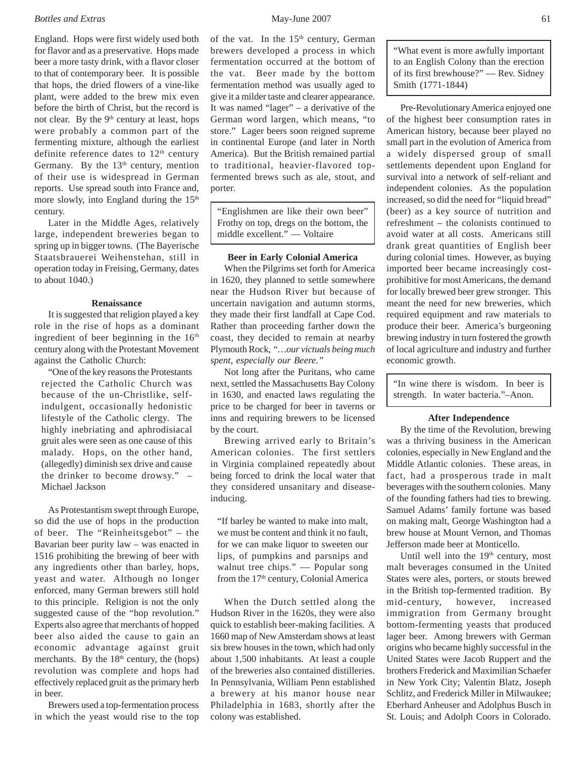# *Bottles and Extras* 61

England. Hops were first widely used both for flavor and as a preservative. Hops made beer a more tasty drink, with a flavor closer to that of contemporary beer. It is possible that hops, the dried flowers of a vine-like plant, were added to the brew mix even before the birth of Christ, but the record is not clear. By the 9<sup>th</sup> century at least, hops were probably a common part of the fermenting mixture, although the earliest definite reference dates to  $12<sup>th</sup>$  century Germany. By the  $13<sup>th</sup>$  century, mention of their use is widespread in German reports. Use spread south into France and, more slowly, into England during the 15<sup>th</sup> century.

Later in the Middle Ages, relatively large, independent breweries began to spring up in bigger towns. (The Bayerische Staatsbrauerei Weihenstehan, still in operation today in Freising, Germany, dates to about 1040.)

# **Renaissance**

It is suggested that religion played a key role in the rise of hops as a dominant ingredient of beer beginning in the  $16<sup>th</sup>$ century along with the Protestant Movement against the Catholic Church:

"One of the key reasons the Protestants rejected the Catholic Church was because of the un-Christlike, selfindulgent, occasionally hedonistic lifestyle of the Catholic clergy. The highly inebriating and aphrodisiacal gruit ales were seen as one cause of this malady. Hops, on the other hand, (allegedly) diminish sex drive and cause the drinker to become drowsy." – Michael Jackson

As Protestantism swept through Europe, so did the use of hops in the production of beer. The "Reinheitsgebot" – the Bavarian beer purity law – was enacted in 1516 prohibiting the brewing of beer with any ingredients other than barley, hops, yeast and water. Although no longer enforced, many German brewers still hold to this principle. Religion is not the only suggested cause of the "hop revolution." Experts also agree that merchants of hopped beer also aided the cause to gain an economic advantage against gruit merchants. By the  $18<sup>th</sup>$  century, the (hops) revolution was complete and hops had effectively replaced gruit as the primary herb in beer.

Brewers used a top-fermentation process in which the yeast would rise to the top of the vat. In the 15<sup>th</sup> century, German brewers developed a process in which fermentation occurred at the bottom of the vat. Beer made by the bottom fermentation method was usually aged to give it a milder taste and clearer appearance. It was named "lager" – a derivative of the German word largen, which means, "to store." Lager beers soon reigned supreme in continental Europe (and later in North America). But the British remained partial to traditional, heavier-flavored topfermented brews such as ale, stout, and porter.

"Englishmen are like their own beer" Frothy on top, dregs on the bottom, the middle excellent." –– Voltaire

# **Beer in Early Colonial America**

When the Pilgrims set forth for America in 1620, they planned to settle somewhere near the Hudson River but because of uncertain navigation and autumn storms, they made their first landfall at Cape Cod. Rather than proceeding farther down the coast, they decided to remain at nearby Plymouth Rock, *"…our victuals being much spent, especially our Beere."*

Not long after the Puritans, who came next, settled the Massachusetts Bay Colony in 1630, and enacted laws regulating the price to be charged for beer in taverns or inns and requiring brewers to be licensed by the court.

Brewing arrived early to Britain's American colonies. The first settlers in Virginia complained repeatedly about being forced to drink the local water that they considered unsanitary and diseaseinducing.

"If barley be wanted to make into malt, we must be content and think it no fault, for we can make liquor to sweeten our lips, of pumpkins and parsnips and walnut tree chips." –– Popular song from the 17<sup>th</sup> century, Colonial America

When the Dutch settled along the Hudson River in the 1620s, they were also quick to establish beer-making facilities. A 1660 map of New Amsterdam shows at least six brew houses in the town, which had only about 1,500 inhabitants. At least a couple of the breweries also contained distilleries. In Pennsylvania, William Penn established a brewery at his manor house near Philadelphia in 1683, shortly after the colony was established.

"What event is more awfully important to an English Colony than the erection of its first brewhouse?" –– Rev. Sidney Smith (1771-1844)

Pre-Revolutionary America enjoyed one of the highest beer consumption rates in American history, because beer played no small part in the evolution of America from a widely dispersed group of small settlements dependent upon England for survival into a network of self-reliant and independent colonies. As the population increased, so did the need for "liquid bread" (beer) as a key source of nutrition and refreshment – the colonists continued to avoid water at all costs. Americans still drank great quantities of English beer during colonial times. However, as buying imported beer became increasingly costprohibitive for most Americans, the demand for locally brewed beer grew stronger. This meant the need for new breweries, which required equipment and raw materials to produce their beer. America's burgeoning brewing industry in turn fostered the growth of local agriculture and industry and further economic growth.

"In wine there is wisdom. In beer is strength. In water bacteria."–Anon.

## **After Independence**

By the time of the Revolution, brewing was a thriving business in the American colonies, especially in New England and the Middle Atlantic colonies. These areas, in fact, had a prosperous trade in malt beverages with the southern colonies. Many of the founding fathers had ties to brewing. Samuel Adams' family fortune was based on making malt, George Washington had a brew house at Mount Vernon, and Thomas Jefferson made beer at Monticello.

Until well into the  $19<sup>th</sup>$  century, most malt beverages consumed in the United States were ales, porters, or stouts brewed in the British top-fermented tradition. By mid-century, however, increased immigration from Germany brought bottom-fermenting yeasts that produced lager beer. Among brewers with German origins who became highly successful in the United States were Jacob Ruppert and the brothers Frederick and Maximilian Schaefer in New York City; Valentin Blatz, Joseph Schlitz, and Frederick Miller in Milwaukee; Eberhard Anheuser and Adolphus Busch in St. Louis; and Adolph Coors in Colorado.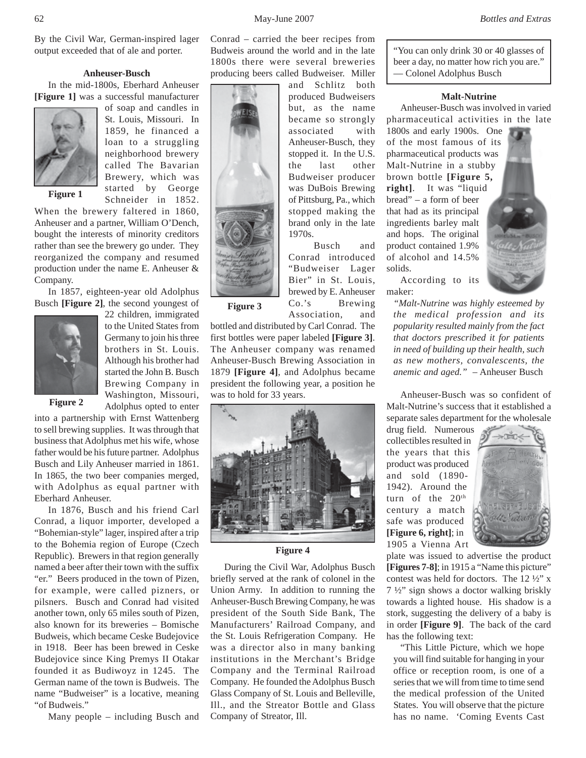By the Civil War, German-inspired lager output exceeded that of ale and porter.

# **Anheuser-Busch**

In the mid-1800s, Eberhard Anheuser **[Figure 1]** was a successful manufacturer



of soap and candles in St. Louis, Missouri. In 1859, he financed a loan to a struggling neighborhood brewery called The Bavarian Brewery, which was started by George Schneider in 1852.

When the brewery faltered in 1860, Anheuser and a partner, William O'Dench, bought the interests of minority creditors rather than see the brewery go under. They reorganized the company and resumed production under the name E. Anheuser & Company.

In 1857, eighteen-year old Adolphus Busch **[Figure 2]**, the second youngest of



22 children, immigrated to the United States from Germany to join his three brothers in St. Louis. Although his brother had started the John B. Busch Brewing Company in Washington, Missouri, Adolphus opted to enter

**Figure 2**

into a partnership with Ernst Wattenberg to sell brewing supplies. It was through that business that Adolphus met his wife, whose father would be his future partner. Adolphus Busch and Lily Anheuser married in 1861. In 1865, the two beer companies merged, with Adolphus as equal partner with Eberhard Anheuser.

In 1876, Busch and his friend Carl Conrad, a liquor importer, developed a "Bohemian-style" lager, inspired after a trip to the Bohemia region of Europe (Czech Republic). Brewers in that region generally named a beer after their town with the suffix "er." Beers produced in the town of Pizen, for example, were called pizners, or pilsners. Busch and Conrad had visited another town, only 65 miles south of Pizen, also known for its breweries – Bomische Budweis, which became Ceske Budejovice in 1918. Beer has been brewed in Ceske Budejovice since King Premys II Otakar founded it as Budiwoyz in 1245. The German name of the town is Budweis. The name "Budweiser" is a locative, meaning "of Budweis."

Many people – including Busch and

Conrad – carried the beer recipes from Budweis around the world and in the late 1800s there were several breweries producing beers called Budweiser. Miller

> and Schlitz both produced Budweisers but, as the name became so strongly associated with Anheuser-Busch, they stopped it. In the U.S. the last other Budweiser producer was DuBois Brewing of Pittsburg, Pa., which stopped making the brand only in the late 1970s.

Busch and Conrad introduced "Budweiser Lager Bier" in St. Louis, brewed by E. Anheuser Co.'s Brewing Association, and

bottled and distributed by Carl Conrad. The first bottles were paper labeled **[Figure 3]**. The Anheuser company was renamed Anheuser-Busch Brewing Association in 1879 **[Figure 4]**, and Adolphus became president the following year, a position he was to hold for 33 years.

**Figure 3**



#### **Figure 4**

During the Civil War, Adolphus Busch briefly served at the rank of colonel in the Union Army. In addition to running the Anheuser-Busch Brewing Company, he was president of the South Side Bank, The Manufacturers' Railroad Company, and the St. Louis Refrigeration Company. He was a director also in many banking institutions in the Merchant's Bridge Company and the Terminal Railroad Company. He founded the Adolphus Busch Glass Company of St. Louis and Belleville, Ill., and the Streator Bottle and Glass Company of Streator, Ill.

"You can only drink 30 or 40 glasses of beer a day, no matter how rich you are." –– Colonel Adolphus Busch

# **Malt-Nutrine**

Anheuser-Busch was involved in varied pharmaceutical activities in the late

1800s and early 1900s. One of the most famous of its pharmaceutical products was Malt-Nutrine in a stubby brown bottle **[Figure 5, right]**. It was "liquid bread" – a form of beer that had as its principal ingredients barley malt and hops. The original product contained 1.9% of alcohol and 14.5% solids.



According to its maker:

*"Malt-Nutrine was highly esteemed by the medical profession and its popularity resulted mainly from the fact that doctors prescribed it for patients in need of building up their health, such as new mothers, convalescents, the anemic and aged."* – Anheuser Busch

Anheuser-Busch was so confident of Malt-Nutrine's success that it established a separate sales department for the wholesale

drug field. Numerous collectibles resulted in the years that this product was produced and sold (1890- 1942). Around the turn of the 20<sup>th</sup> century a match safe was produced **[Figure 6, right]**; in 1905 a Vienna Art



plate was issued to advertise the product **[Figures 7-8]**; in 1915 a "Name this picture" contest was held for doctors. The 12 ½" x 7 ½" sign shows a doctor walking briskly towards a lighted house. His shadow is a stork, suggesting the delivery of a baby is in order **[Figure 9]**. The back of the card has the following text:

"This Little Picture, which we hope you will find suitable for hanging in your office or reception room, is one of a series that we will from time to time send the medical profession of the United States. You will observe that the picture has no name. 'Coming Events Cast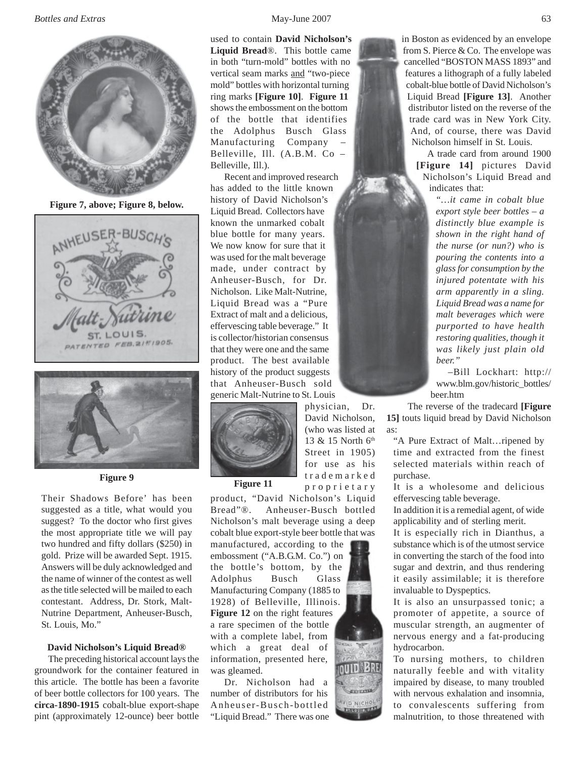

**Figure 7, above; Figure 8, below.**





Their Shadows Before' has been suggested as a title, what would you suggest? To the doctor who first gives the most appropriate title we will pay two hundred and fifty dollars (\$250) in gold. Prize will be awarded Sept. 1915. Answers will be duly acknowledged and the name of winner of the contest as well as the title selected will be mailed to each contestant. Address, Dr. Stork, Malt-Nutrine Department, Anheuser-Busch, St. Louis, Mo."

# **David Nicholson's Liquid Bread®**

The preceding historical account lays the groundwork for the container featured in this article. The bottle has been a favorite of beer bottle collectors for 100 years. The **circa-1890-1915** cobalt-blue export-shape pint (approximately 12-ounce) beer bottle

used to contain **David Nicholson's Liquid Bread**®. This bottle came in both "turn-mold" bottles with no vertical seam marks and "two-piece mold" bottles with horizontal turning ring marks **[Figure 10]**. **Figure 11** shows the embossment on the bottom of the bottle that identifies the Adolphus Busch Glass Manufacturing Company – Belleville, Ill. (A.B.M. Co – Belleville, Ill.).

Recent and improved research has added to the little known history of David Nicholson's Liquid Bread. Collectors have known the unmarked cobalt blue bottle for many years. We now know for sure that it was used for the malt beverage made, under contract by Anheuser-Busch, for Dr. Nicholson. Like Malt-Nutrine, Liquid Bread was a "Pure Extract of malt and a delicious, effervescing table beverage." It is collector/historian consensus that they were one and the same product. The best available history of the product suggests that Anheuser-Busch sold generic Malt-Nutrine to St. Louis



**Figure 9 Figure 11** 

product, "David Nicholson's Liquid Bread"®. Anheuser-Busch bottled Nicholson's malt beverage using a deep cobalt blue export-style beer bottle that was

manufactured, according to the embossment ("A.B.G.M. Co.") on the bottle's bottom, by the Adolphus Busch Glass Manufacturing Company (1885 to 1928) of Belleville, Illinois. **Figure 12** on the right features a rare specimen of the bottle with a complete label, from which a great deal of information, presented here, was gleamed.

Dr. Nicholson had a number of distributors for his Anheuser-Busch-bottled "Liquid Bread." There was one

physician, Dr. David Nicholson, (who was listed at 13 & 15 North 6th Street in 1905) for use as his trademarked proprietary



in Boston as evidenced by an envelope from S. Pierce & Co. The envelope was cancelled "BOSTON MASS 1893" and features a lithograph of a fully labeled cobalt-blue bottle of David Nicholson's Liquid Bread **[Figure 13]**. Another distributor listed on the reverse of the trade card was in New York City. And, of course, there was David Nicholson himself in St. Louis.

 A trade card from around 1900 **[Figure 14]** pictures David Nicholson's Liquid Bread and indicates that:

> *"…it came in cobalt blue export style beer bottles – a distinctly blue example is shown in the right hand of the nurse (or nun?) who is pouring the contents into a glass for consumption by the injured potentate with his arm apparently in a sling. Liquid Bread was a name for malt beverages which were purported to have health restoring qualities, though it was likely just plain old beer."*

 –Bill Lockhart: http:// www.blm.gov/historic\_bottles/ beer.htm

 The reverse of the tradecard **[Figure 15]** touts liquid bread by David Nicholson as:

"A Pure Extract of Malt…ripened by time and extracted from the finest selected materials within reach of purchase.

It is a wholesome and delicious effervescing table beverage.

In addition it is a remedial agent, of wide applicability and of sterling merit.

It is especially rich in Dianthus, a substance which is of the utmost service in converting the starch of the food into sugar and dextrin, and thus rendering it easily assimilable; it is therefore invaluable to Dyspeptics.

It is also an unsurpassed tonic; a promoter of appetite, a source of muscular strength, an augmenter of nervous energy and a fat-producing hydrocarbon.

To nursing mothers, to children naturally feeble and with vitality impaired by disease, to many troubled with nervous exhalation and insomnia, to convalescents suffering from malnutrition, to those threatened with